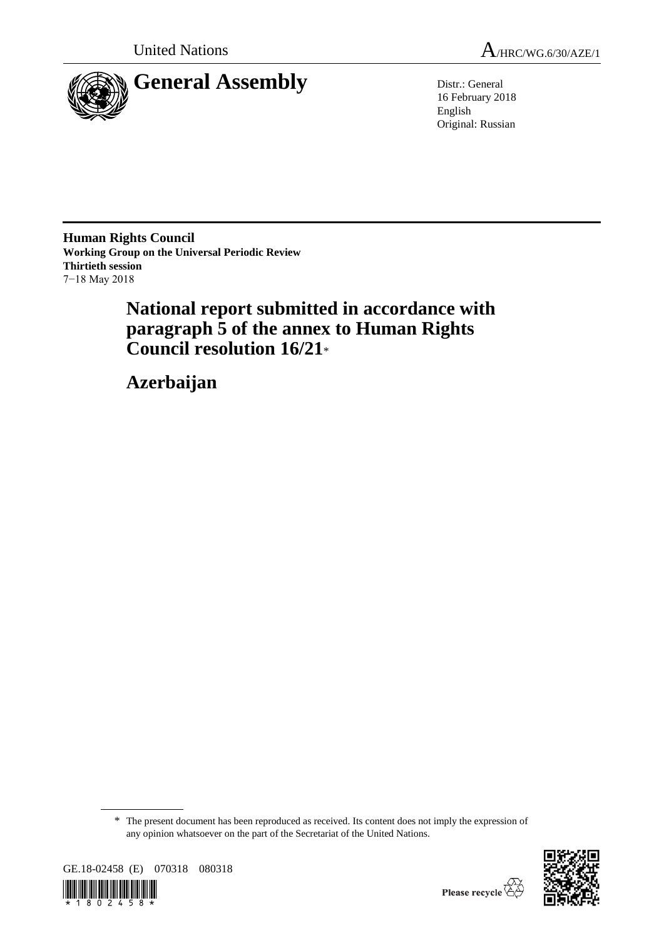

16 February 2018 English Original: Russian

**Human Rights Council Working Group on the Universal Periodic Review Thirtieth session** 7−18 May 2018

> **National report submitted in accordance with paragraph 5 of the annex to Human Rights Council resolution 16/21**\*

**Azerbaijan**

\* The present document has been reproduced as received. Its content does not imply the expression of any opinion whatsoever on the part of the Secretariat of the United Nations.



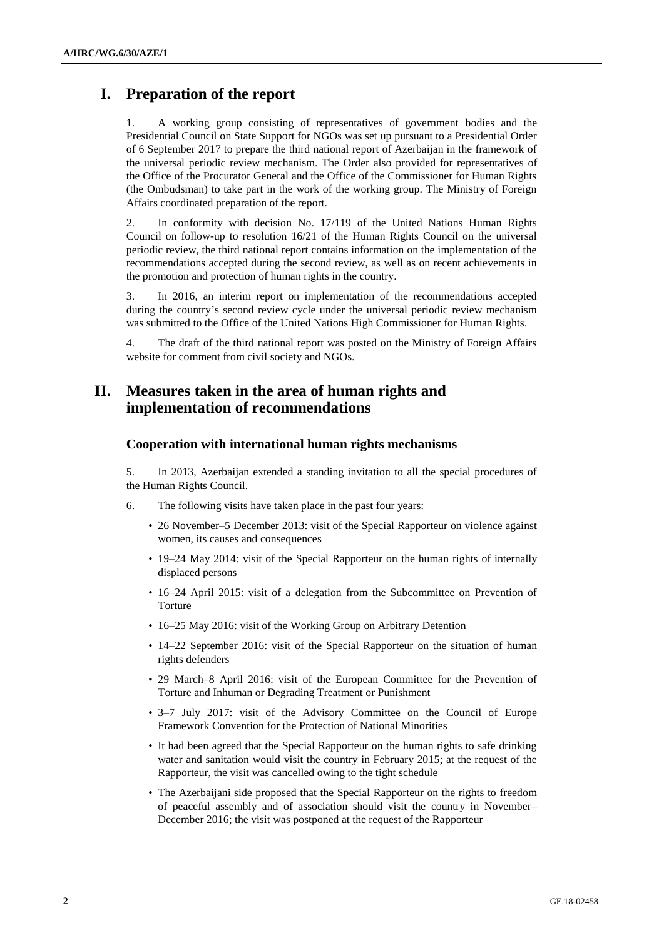# **I. Preparation of the report**

1. A working group consisting of representatives of government bodies and the Presidential Council on State Support for NGOs was set up pursuant to a Presidential Order of 6 September 2017 to prepare the third national report of Azerbaijan in the framework of the universal periodic review mechanism. The Order also provided for representatives of the Office of the Procurator General and the Office of the Commissioner for Human Rights (the Ombudsman) to take part in the work of the working group. The Ministry of Foreign Affairs coordinated preparation of the report.

2. In conformity with decision No. 17/119 of the United Nations Human Rights Council on follow-up to resolution 16/21 of the Human Rights Council on the universal periodic review, the third national report contains information on the implementation of the recommendations accepted during the second review, as well as on recent achievements in the promotion and protection of human rights in the country.

3. In 2016, an interim report on implementation of the recommendations accepted during the country's second review cycle under the universal periodic review mechanism was submitted to the Office of the United Nations High Commissioner for Human Rights.

4. The draft of the third national report was posted on the Ministry of Foreign Affairs website for comment from civil society and NGOs.

# **II. Measures taken in the area of human rights and implementation of recommendations**

## **Cooperation with international human rights mechanisms**

5. In 2013, Azerbaijan extended a standing invitation to all the special procedures of the Human Rights Council.

- 6. The following visits have taken place in the past four years:
	- 26 November–5 December 2013: visit of the Special Rapporteur on violence against women, its causes and consequences
	- 19–24 May 2014: visit of the Special Rapporteur on the human rights of internally displaced persons
	- 16–24 April 2015: visit of a delegation from the Subcommittee on Prevention of Torture
	- 16–25 May 2016: visit of the Working Group on Arbitrary Detention
	- 14–22 September 2016: visit of the Special Rapporteur on the situation of human rights defenders
	- 29 March–8 April 2016: visit of the European Committee for the Prevention of Torture and Inhuman or Degrading Treatment or Punishment
	- 3–7 July 2017: visit of the Advisory Committee on the Council of Europe Framework Convention for the Protection of National Minorities
	- It had been agreed that the Special Rapporteur on the human rights to safe drinking water and sanitation would visit the country in February 2015; at the request of the Rapporteur, the visit was cancelled owing to the tight schedule
	- The Azerbaijani side proposed that the Special Rapporteur on the rights to freedom of peaceful assembly and of association should visit the country in November– December 2016; the visit was postponed at the request of the Rapporteur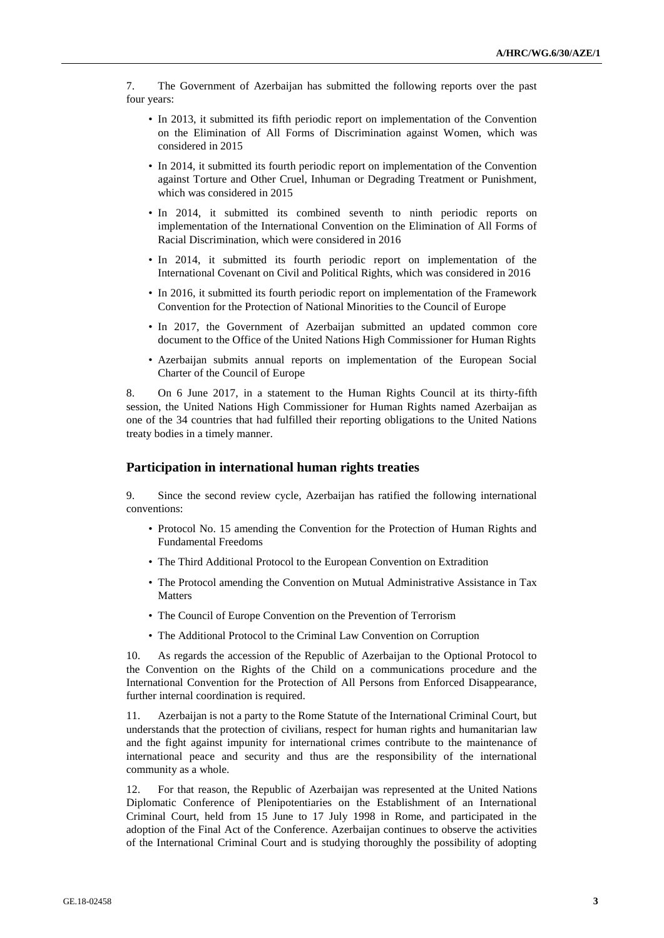7. The Government of Azerbaijan has submitted the following reports over the past four years:

- In 2013, it submitted its fifth periodic report on implementation of the Convention on the Elimination of All Forms of Discrimination against Women, which was considered in 2015
- In 2014, it submitted its fourth periodic report on implementation of the Convention against Torture and Other Cruel, Inhuman or Degrading Treatment or Punishment, which was considered in 2015
- In 2014, it submitted its combined seventh to ninth periodic reports on implementation of the International Convention on the Elimination of All Forms of Racial Discrimination, which were considered in 2016
- In 2014, it submitted its fourth periodic report on implementation of the International Covenant on Civil and Political Rights, which was considered in 2016
- In 2016, it submitted its fourth periodic report on implementation of the Framework Convention for the Protection of National Minorities to the Council of Europe
- In 2017, the Government of Azerbaijan submitted an updated common core document to the Office of the United Nations High Commissioner for Human Rights
- Azerbaijan submits annual reports on implementation of the European Social Charter of the Council of Europe

8. On 6 June 2017, in a statement to the Human Rights Council at its thirty-fifth session, the United Nations High Commissioner for Human Rights named Azerbaijan as one of the 34 countries that had fulfilled their reporting obligations to the United Nations treaty bodies in a timely manner.

## **Participation in international human rights treaties**

9. Since the second review cycle, Azerbaijan has ratified the following international conventions:

- Protocol No. 15 amending the Convention for the Protection of Human Rights and Fundamental Freedoms
- The Third Additional Protocol to the European Convention on Extradition
- The Protocol amending the Convention on Mutual Administrative Assistance in Tax Matters
- The Council of Europe Convention on the Prevention of Terrorism
- The Additional Protocol to the Criminal Law Convention on Corruption

10. As regards the accession of the Republic of Azerbaijan to the Optional Protocol to the Convention on the Rights of the Child on a communications procedure and the International Convention for the Protection of All Persons from Enforced Disappearance, further internal coordination is required.

11. Azerbaijan is not a party to the Rome Statute of the International Criminal Court, but understands that the protection of civilians, respect for human rights and humanitarian law and the fight against impunity for international crimes contribute to the maintenance of international peace and security and thus are the responsibility of the international community as a whole.

12. For that reason, the Republic of Azerbaijan was represented at the United Nations Diplomatic Conference of Plenipotentiaries on the Establishment of an International Criminal Court, held from 15 June to 17 July 1998 in Rome, and participated in the adoption of the Final Act of the Conference. Azerbaijan continues to observe the activities of the International Criminal Court and is studying thoroughly the possibility of adopting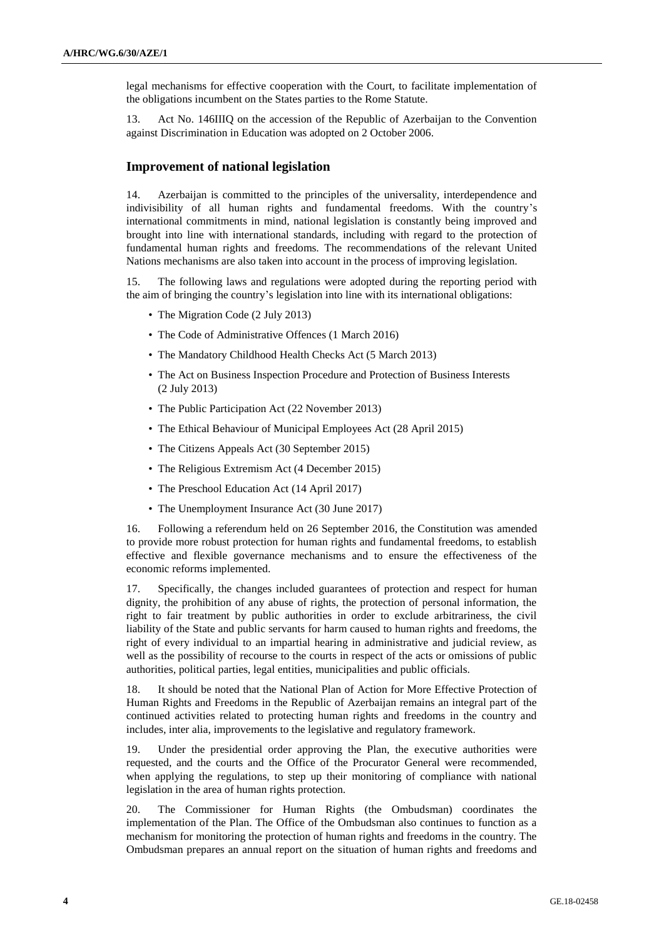legal mechanisms for effective cooperation with the Court, to facilitate implementation of the obligations incumbent on the States parties to the Rome Statute.

13. Act No. 146IIIQ on the accession of the Republic of Azerbaijan to the Convention against Discrimination in Education was adopted on 2 October 2006.

## **Improvement of national legislation**

14. Azerbaijan is committed to the principles of the universality, interdependence and indivisibility of all human rights and fundamental freedoms. With the country's international commitments in mind, national legislation is constantly being improved and brought into line with international standards, including with regard to the protection of fundamental human rights and freedoms. The recommendations of the relevant United Nations mechanisms are also taken into account in the process of improving legislation.

15. The following laws and regulations were adopted during the reporting period with the aim of bringing the country's legislation into line with its international obligations:

- The Migration Code (2 July 2013)
- The Code of Administrative Offences (1 March 2016)
- The Mandatory Childhood Health Checks Act (5 March 2013)
- The Act on Business Inspection Procedure and Protection of Business Interests (2 July 2013)
- The Public Participation Act (22 November 2013)
- The Ethical Behaviour of Municipal Employees Act (28 April 2015)
- The Citizens Appeals Act (30 September 2015)
- The Religious Extremism Act (4 December 2015)
- The Preschool Education Act (14 April 2017)
- The Unemployment Insurance Act (30 June 2017)

16. Following a referendum held on 26 September 2016, the Constitution was amended to provide more robust protection for human rights and fundamental freedoms, to establish effective and flexible governance mechanisms and to ensure the effectiveness of the economic reforms implemented.

17. Specifically, the changes included guarantees of protection and respect for human dignity, the prohibition of any abuse of rights, the protection of personal information, the right to fair treatment by public authorities in order to exclude arbitrariness, the civil liability of the State and public servants for harm caused to human rights and freedoms, the right of every individual to an impartial hearing in administrative and judicial review, as well as the possibility of recourse to the courts in respect of the acts or omissions of public authorities, political parties, legal entities, municipalities and public officials.

18. It should be noted that the National Plan of Action for More Effective Protection of Human Rights and Freedoms in the Republic of Azerbaijan remains an integral part of the continued activities related to protecting human rights and freedoms in the country and includes, inter alia, improvements to the legislative and regulatory framework.

19. Under the presidential order approving the Plan, the executive authorities were requested, and the courts and the Office of the Procurator General were recommended, when applying the regulations, to step up their monitoring of compliance with national legislation in the area of human rights protection.

20. The Commissioner for Human Rights (the Ombudsman) coordinates the implementation of the Plan. The Office of the Ombudsman also continues to function as a mechanism for monitoring the protection of human rights and freedoms in the country. The Ombudsman prepares an annual report on the situation of human rights and freedoms and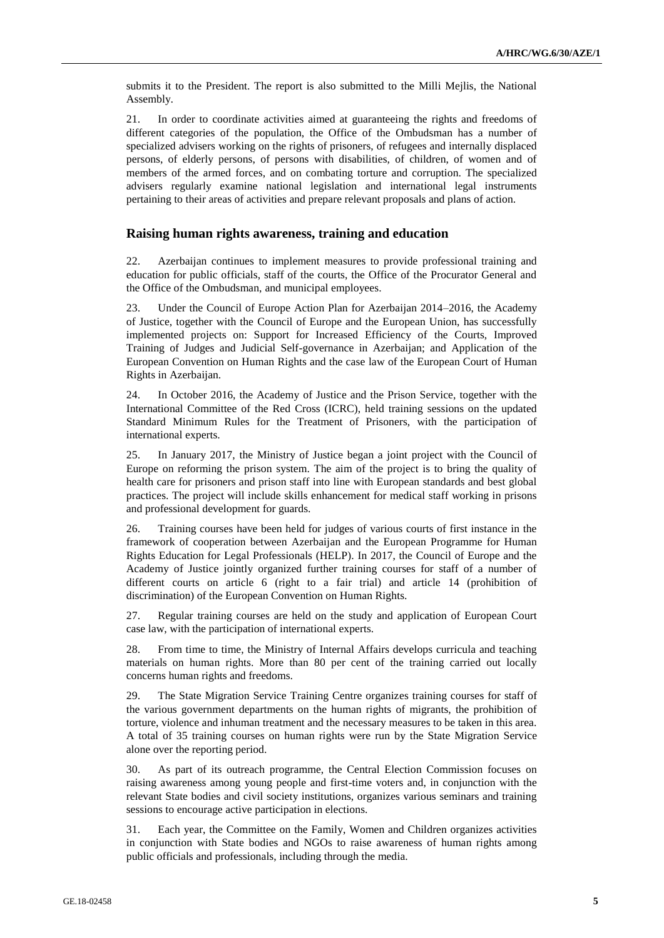submits it to the President. The report is also submitted to the Milli Mejlis, the National Assembly.

21. In order to coordinate activities aimed at guaranteeing the rights and freedoms of different categories of the population, the Office of the Ombudsman has a number of specialized advisers working on the rights of prisoners, of refugees and internally displaced persons, of elderly persons, of persons with disabilities, of children, of women and of members of the armed forces, and on combating torture and corruption. The specialized advisers regularly examine national legislation and international legal instruments pertaining to their areas of activities and prepare relevant proposals and plans of action.

## **Raising human rights awareness, training and education**

22. Azerbaijan continues to implement measures to provide professional training and education for public officials, staff of the courts, the Office of the Procurator General and the Office of the Ombudsman, and municipal employees.

23. Under the Council of Europe Action Plan for Azerbaijan 2014–2016, the Academy of Justice, together with the Council of Europe and the European Union, has successfully implemented projects on: Support for Increased Efficiency of the Courts, Improved Training of Judges and Judicial Self-governance in Azerbaijan; and Application of the European Convention on Human Rights and the case law of the European Court of Human Rights in Azerbaijan.

24. In October 2016, the Academy of Justice and the Prison Service, together with the International Committee of the Red Cross (ICRC), held training sessions on the updated Standard Minimum Rules for the Treatment of Prisoners, with the participation of international experts.

25. In January 2017, the Ministry of Justice began a joint project with the Council of Europe on reforming the prison system. The aim of the project is to bring the quality of health care for prisoners and prison staff into line with European standards and best global practices. The project will include skills enhancement for medical staff working in prisons and professional development for guards.

26. Training courses have been held for judges of various courts of first instance in the framework of cooperation between Azerbaijan and the European Programme for Human Rights Education for Legal Professionals (HELP). In 2017, the Council of Europe and the Academy of Justice jointly organized further training courses for staff of a number of different courts on article 6 (right to a fair trial) and article 14 (prohibition of discrimination) of the European Convention on Human Rights.

27. Regular training courses are held on the study and application of European Court case law, with the participation of international experts.

28. From time to time, the Ministry of Internal Affairs develops curricula and teaching materials on human rights. More than 80 per cent of the training carried out locally concerns human rights and freedoms.

29. The State Migration Service Training Centre organizes training courses for staff of the various government departments on the human rights of migrants, the prohibition of torture, violence and inhuman treatment and the necessary measures to be taken in this area. A total of 35 training courses on human rights were run by the State Migration Service alone over the reporting period.

30. As part of its outreach programme, the Central Election Commission focuses on raising awareness among young people and first-time voters and, in conjunction with the relevant State bodies and civil society institutions, organizes various seminars and training sessions to encourage active participation in elections.

31. Each year, the Committee on the Family, Women and Children organizes activities in conjunction with State bodies and NGOs to raise awareness of human rights among public officials and professionals, including through the media.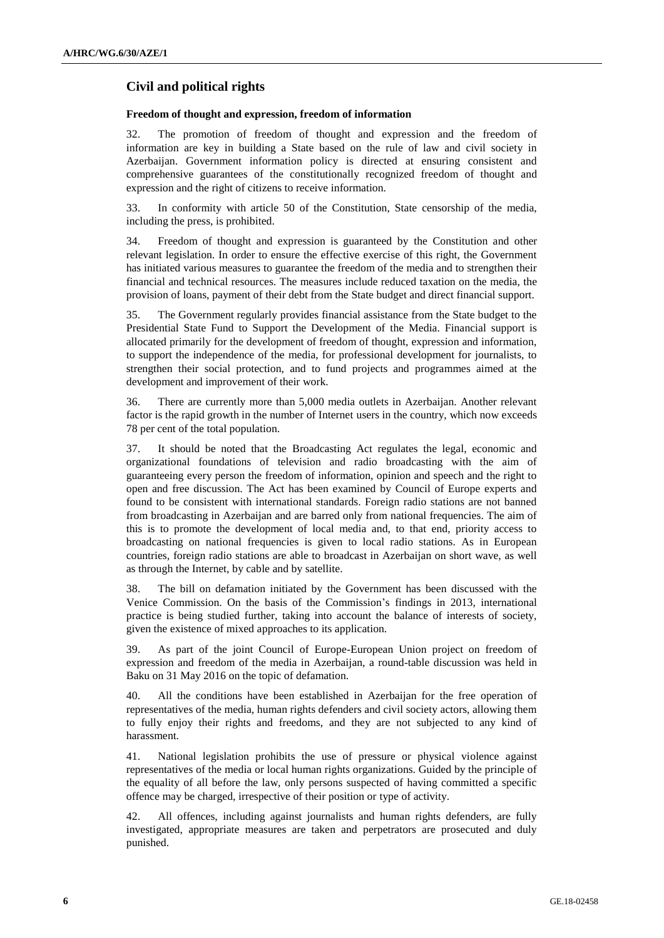## **Civil and political rights**

## **Freedom of thought and expression, freedom of information**

32. The promotion of freedom of thought and expression and the freedom of information are key in building a State based on the rule of law and civil society in Azerbaijan. Government information policy is directed at ensuring consistent and comprehensive guarantees of the constitutionally recognized freedom of thought and expression and the right of citizens to receive information.

33. In conformity with article 50 of the Constitution, State censorship of the media, including the press, is prohibited.

34. Freedom of thought and expression is guaranteed by the Constitution and other relevant legislation. In order to ensure the effective exercise of this right, the Government has initiated various measures to guarantee the freedom of the media and to strengthen their financial and technical resources. The measures include reduced taxation on the media, the provision of loans, payment of their debt from the State budget and direct financial support.

35. The Government regularly provides financial assistance from the State budget to the Presidential State Fund to Support the Development of the Media. Financial support is allocated primarily for the development of freedom of thought, expression and information, to support the independence of the media, for professional development for journalists, to strengthen their social protection, and to fund projects and programmes aimed at the development and improvement of their work.

36. There are currently more than 5,000 media outlets in Azerbaijan. Another relevant factor is the rapid growth in the number of Internet users in the country, which now exceeds 78 per cent of the total population.

37. It should be noted that the Broadcasting Act regulates the legal, economic and organizational foundations of television and radio broadcasting with the aim of guaranteeing every person the freedom of information, opinion and speech and the right to open and free discussion. The Act has been examined by Council of Europe experts and found to be consistent with international standards. Foreign radio stations are not banned from broadcasting in Azerbaijan and are barred only from national frequencies. The aim of this is to promote the development of local media and, to that end, priority access to broadcasting on national frequencies is given to local radio stations. As in European countries, foreign radio stations are able to broadcast in Azerbaijan on short wave, as well as through the Internet, by cable and by satellite.

38. The bill on defamation initiated by the Government has been discussed with the Venice Commission. On the basis of the Commission's findings in 2013, international practice is being studied further, taking into account the balance of interests of society, given the existence of mixed approaches to its application.

39. As part of the joint Council of Europe-European Union project on freedom of expression and freedom of the media in Azerbaijan, a round-table discussion was held in Baku on 31 May 2016 on the topic of defamation.

40. All the conditions have been established in Azerbaijan for the free operation of representatives of the media, human rights defenders and civil society actors, allowing them to fully enjoy their rights and freedoms, and they are not subjected to any kind of harassment.

41. National legislation prohibits the use of pressure or physical violence against representatives of the media or local human rights organizations. Guided by the principle of the equality of all before the law, only persons suspected of having committed a specific offence may be charged, irrespective of their position or type of activity.

42. All offences, including against journalists and human rights defenders, are fully investigated, appropriate measures are taken and perpetrators are prosecuted and duly punished.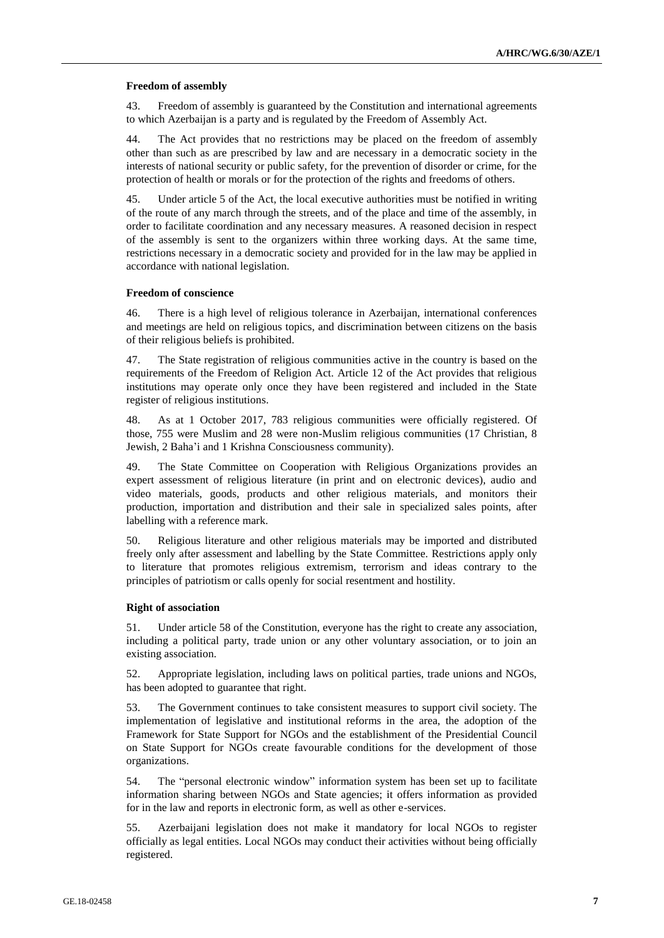### **Freedom of assembly**

43. Freedom of assembly is guaranteed by the Constitution and international agreements to which Azerbaijan is a party and is regulated by the Freedom of Assembly Act.

44. The Act provides that no restrictions may be placed on the freedom of assembly other than such as are prescribed by law and are necessary in a democratic society in the interests of national security or public safety, for the prevention of disorder or crime, for the protection of health or morals or for the protection of the rights and freedoms of others.

45. Under article 5 of the Act, the local executive authorities must be notified in writing of the route of any march through the streets, and of the place and time of the assembly, in order to facilitate coordination and any necessary measures. A reasoned decision in respect of the assembly is sent to the organizers within three working days. At the same time, restrictions necessary in a democratic society and provided for in the law may be applied in accordance with national legislation.

### **Freedom of conscience**

46. There is a high level of religious tolerance in Azerbaijan, international conferences and meetings are held on religious topics, and discrimination between citizens on the basis of their religious beliefs is prohibited.

47. The State registration of religious communities active in the country is based on the requirements of the Freedom of Religion Act. Article 12 of the Act provides that religious institutions may operate only once they have been registered and included in the State register of religious institutions.

48. As at 1 October 2017, 783 religious communities were officially registered. Of those, 755 were Muslim and 28 were non-Muslim religious communities (17 Christian, 8 Jewish, 2 Baha'i and 1 Krishna Consciousness community).

49. The State Committee on Cooperation with Religious Organizations provides an expert assessment of religious literature (in print and on electronic devices), audio and video materials, goods, products and other religious materials, and monitors their production, importation and distribution and their sale in specialized sales points, after labelling with a reference mark.

50. Religious literature and other religious materials may be imported and distributed freely only after assessment and labelling by the State Committee. Restrictions apply only to literature that promotes religious extremism, terrorism and ideas contrary to the principles of patriotism or calls openly for social resentment and hostility.

## **Right of association**

51. Under article 58 of the Constitution, everyone has the right to create any association, including a political party, trade union or any other voluntary association, or to join an existing association.

52. Appropriate legislation, including laws on political parties, trade unions and NGOs, has been adopted to guarantee that right.

53. The Government continues to take consistent measures to support civil society. The implementation of legislative and institutional reforms in the area, the adoption of the Framework for State Support for NGOs and the establishment of the Presidential Council on State Support for NGOs create favourable conditions for the development of those organizations.

54. The "personal electronic window" information system has been set up to facilitate information sharing between NGOs and State agencies; it offers information as provided for in the law and reports in electronic form, as well as other e-services.

55. Azerbaijani legislation does not make it mandatory for local NGOs to register officially as legal entities. Local NGOs may conduct their activities without being officially registered.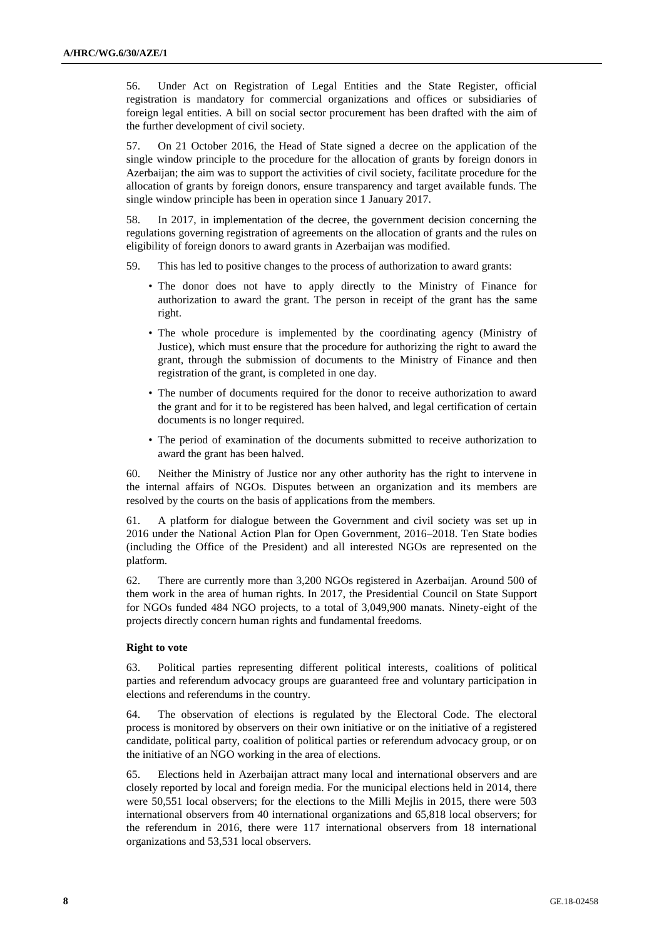56. Under Act on Registration of Legal Entities and the State Register, official registration is mandatory for commercial organizations and offices or subsidiaries of foreign legal entities. A bill on social sector procurement has been drafted with the aim of the further development of civil society.

57. On 21 October 2016, the Head of State signed a decree on the application of the single window principle to the procedure for the allocation of grants by foreign donors in Azerbaijan; the aim was to support the activities of civil society, facilitate procedure for the allocation of grants by foreign donors, ensure transparency and target available funds. The single window principle has been in operation since 1 January 2017.

58. In 2017, in implementation of the decree, the government decision concerning the regulations governing registration of agreements on the allocation of grants and the rules on eligibility of foreign donors to award grants in Azerbaijan was modified.

- 59. This has led to positive changes to the process of authorization to award grants:
	- The donor does not have to apply directly to the Ministry of Finance for authorization to award the grant. The person in receipt of the grant has the same right.
	- The whole procedure is implemented by the coordinating agency (Ministry of Justice), which must ensure that the procedure for authorizing the right to award the grant, through the submission of documents to the Ministry of Finance and then registration of the grant, is completed in one day.
	- The number of documents required for the donor to receive authorization to award the grant and for it to be registered has been halved, and legal certification of certain documents is no longer required.
	- The period of examination of the documents submitted to receive authorization to award the grant has been halved.

60. Neither the Ministry of Justice nor any other authority has the right to intervene in the internal affairs of NGOs. Disputes between an organization and its members are resolved by the courts on the basis of applications from the members.

61. A platform for dialogue between the Government and civil society was set up in 2016 under the National Action Plan for Open Government, 2016–2018. Ten State bodies (including the Office of the President) and all interested NGOs are represented on the platform.

62. There are currently more than 3,200 NGOs registered in Azerbaijan. Around 500 of them work in the area of human rights. In 2017, the Presidential Council on State Support for NGOs funded 484 NGO projects, to a total of 3,049,900 manats. Ninety-eight of the projects directly concern human rights and fundamental freedoms.

## **Right to vote**

63. Political parties representing different political interests, coalitions of political parties and referendum advocacy groups are guaranteed free and voluntary participation in elections and referendums in the country.

64. The observation of elections is regulated by the Electoral Code. The electoral process is monitored by observers on their own initiative or on the initiative of a registered candidate, political party, coalition of political parties or referendum advocacy group, or on the initiative of an NGO working in the area of elections.

65. Elections held in Azerbaijan attract many local and international observers and are closely reported by local and foreign media. For the municipal elections held in 2014, there were 50,551 local observers; for the elections to the Milli Mejlis in 2015, there were 503 international observers from 40 international organizations and 65,818 local observers; for the referendum in 2016, there were 117 international observers from 18 international organizations and 53,531 local observers.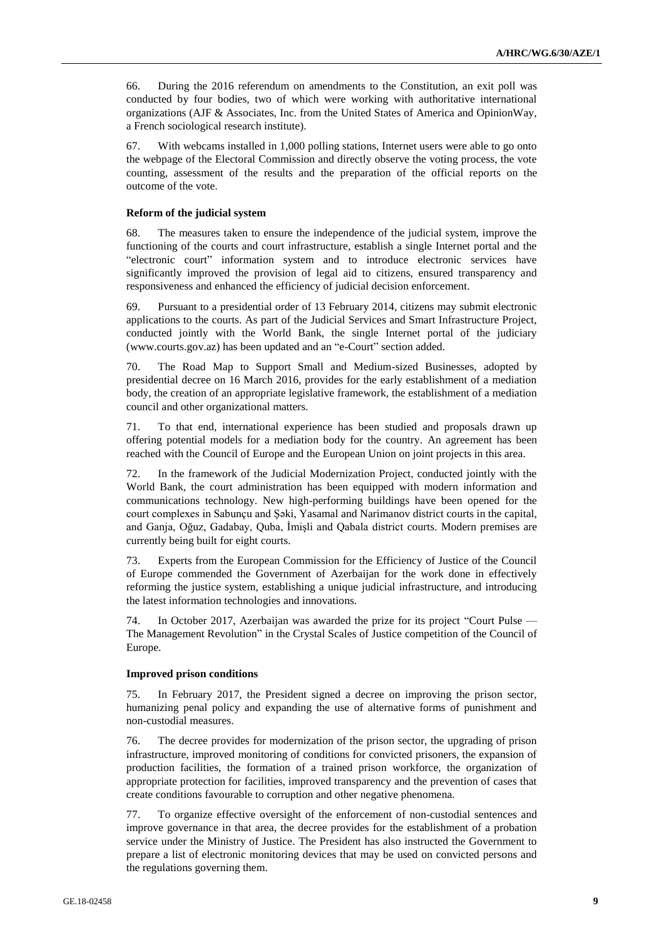66. During the 2016 referendum on amendments to the Constitution, an exit poll was conducted by four bodies, two of which were working with authoritative international organizations (AJF & Associates, Inc. from the United States of America and OpinionWay, a French sociological research institute).

67. With webcams installed in 1,000 polling stations, Internet users were able to go onto the webpage of the Electoral Commission and directly observe the voting process, the vote counting, assessment of the results and the preparation of the official reports on the outcome of the vote.

## **Reform of the judicial system**

68. The measures taken to ensure the independence of the judicial system, improve the functioning of the courts and court infrastructure, establish a single Internet portal and the "electronic court" information system and to introduce electronic services have significantly improved the provision of legal aid to citizens, ensured transparency and responsiveness and enhanced the efficiency of judicial decision enforcement.

69. Pursuant to a presidential order of 13 February 2014, citizens may submit electronic applications to the courts. As part of the Judicial Services and Smart Infrastructure Project, conducted jointly with the World Bank, the single Internet portal of the judiciary (www.courts.gov.az) has been updated and an "e-Court" section added.

70. The Road Map to Support Small and Medium-sized Businesses, adopted by presidential decree on 16 March 2016, provides for the early establishment of a mediation body, the creation of an appropriate legislative framework, the establishment of a mediation council and other organizational matters.

71. To that end, international experience has been studied and proposals drawn up offering potential models for a mediation body for the country. An agreement has been reached with the Council of Europe and the European Union on joint projects in this area.

72. In the framework of the Judicial Modernization Project, conducted jointly with the World Bank, the court administration has been equipped with modern information and communications technology. New high-performing buildings have been opened for the court complexes in Sabunçu and Şəki, Yasamal and Narimanov district courts in the capital, and Ganja, Oğuz, Gadabay, Quba, İmişli and Qabala district courts. Modern premises are currently being built for eight courts.

73. Experts from the European Commission for the Efficiency of Justice of the Council of Europe commended the Government of Azerbaijan for the work done in effectively reforming the justice system, establishing a unique judicial infrastructure, and introducing the latest information technologies and innovations.

74. In October 2017, Azerbaijan was awarded the prize for its project "Court Pulse — The Management Revolution" in the Crystal Scales of Justice competition of the Council of Europe.

### **Improved prison conditions**

75. In February 2017, the President signed a decree on improving the prison sector, humanizing penal policy and expanding the use of alternative forms of punishment and non-custodial measures.

76. The decree provides for modernization of the prison sector, the upgrading of prison infrastructure, improved monitoring of conditions for convicted prisoners, the expansion of production facilities, the formation of a trained prison workforce, the organization of appropriate protection for facilities, improved transparency and the prevention of cases that create conditions favourable to corruption and other negative phenomena.

77. To organize effective oversight of the enforcement of non-custodial sentences and improve governance in that area, the decree provides for the establishment of a probation service under the Ministry of Justice. The President has also instructed the Government to prepare a list of electronic monitoring devices that may be used on convicted persons and the regulations governing them.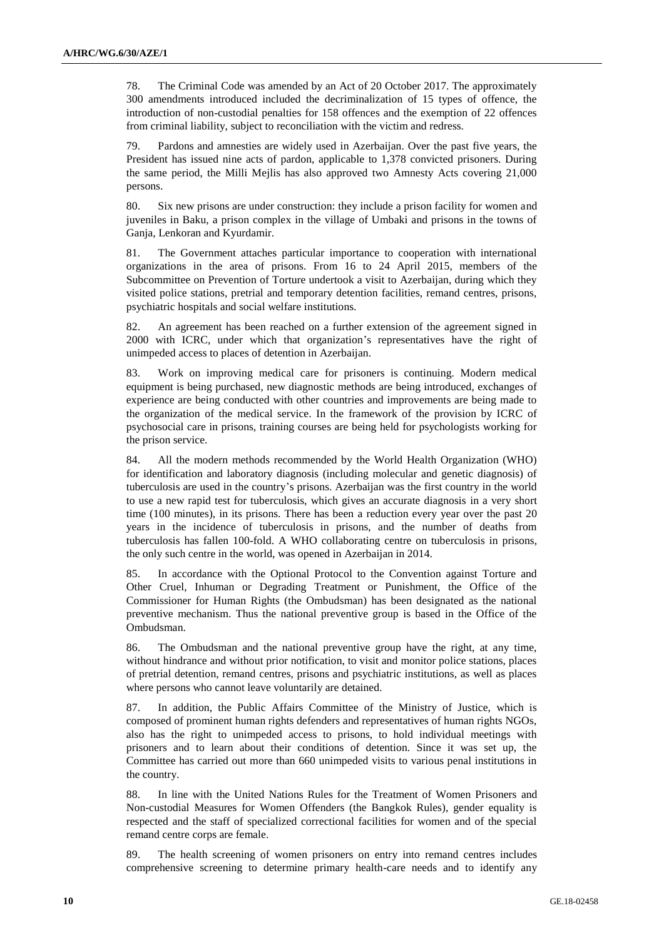78. The Criminal Code was amended by an Act of 20 October 2017. The approximately 300 amendments introduced included the decriminalization of 15 types of offence, the introduction of non-custodial penalties for 158 offences and the exemption of 22 offences from criminal liability, subject to reconciliation with the victim and redress.

79. Pardons and amnesties are widely used in Azerbaijan. Over the past five years, the President has issued nine acts of pardon, applicable to 1,378 convicted prisoners. During the same period, the Milli Mejlis has also approved two Amnesty Acts covering 21,000 persons.

80. Six new prisons are under construction: they include a prison facility for women and juveniles in Baku, a prison complex in the village of Umbaki and prisons in the towns of Ganja, Lenkoran and Kyurdamir.

81. The Government attaches particular importance to cooperation with international organizations in the area of prisons. From 16 to 24 April 2015, members of the Subcommittee on Prevention of Torture undertook a visit to Azerbaijan, during which they visited police stations, pretrial and temporary detention facilities, remand centres, prisons, psychiatric hospitals and social welfare institutions.

82. An agreement has been reached on a further extension of the agreement signed in 2000 with ICRC, under which that organization's representatives have the right of unimpeded access to places of detention in Azerbaijan.

83. Work on improving medical care for prisoners is continuing. Modern medical equipment is being purchased, new diagnostic methods are being introduced, exchanges of experience are being conducted with other countries and improvements are being made to the organization of the medical service. In the framework of the provision by ICRC of psychosocial care in prisons, training courses are being held for psychologists working for the prison service.

84. All the modern methods recommended by the World Health Organization (WHO) for identification and laboratory diagnosis (including molecular and genetic diagnosis) of tuberculosis are used in the country's prisons. Azerbaijan was the first country in the world to use a new rapid test for tuberculosis, which gives an accurate diagnosis in a very short time (100 minutes), in its prisons. There has been a reduction every year over the past 20 years in the incidence of tuberculosis in prisons, and the number of deaths from tuberculosis has fallen 100-fold. A WHO collaborating centre on tuberculosis in prisons, the only such centre in the world, was opened in Azerbaijan in 2014.

85. In accordance with the Optional Protocol to the Convention against Torture and Other Cruel, Inhuman or Degrading Treatment or Punishment, the Office of the Commissioner for Human Rights (the Ombudsman) has been designated as the national preventive mechanism. Thus the national preventive group is based in the Office of the Ombudsman.

86. The Ombudsman and the national preventive group have the right, at any time, without hindrance and without prior notification, to visit and monitor police stations, places of pretrial detention, remand centres, prisons and psychiatric institutions, as well as places where persons who cannot leave voluntarily are detained.

87. In addition, the Public Affairs Committee of the Ministry of Justice, which is composed of prominent human rights defenders and representatives of human rights NGOs, also has the right to unimpeded access to prisons, to hold individual meetings with prisoners and to learn about their conditions of detention. Since it was set up, the Committee has carried out more than 660 unimpeded visits to various penal institutions in the country.

88. In line with the United Nations Rules for the Treatment of Women Prisoners and Non-custodial Measures for Women Offenders (the Bangkok Rules), gender equality is respected and the staff of specialized correctional facilities for women and of the special remand centre corps are female.

89. The health screening of women prisoners on entry into remand centres includes comprehensive screening to determine primary health-care needs and to identify any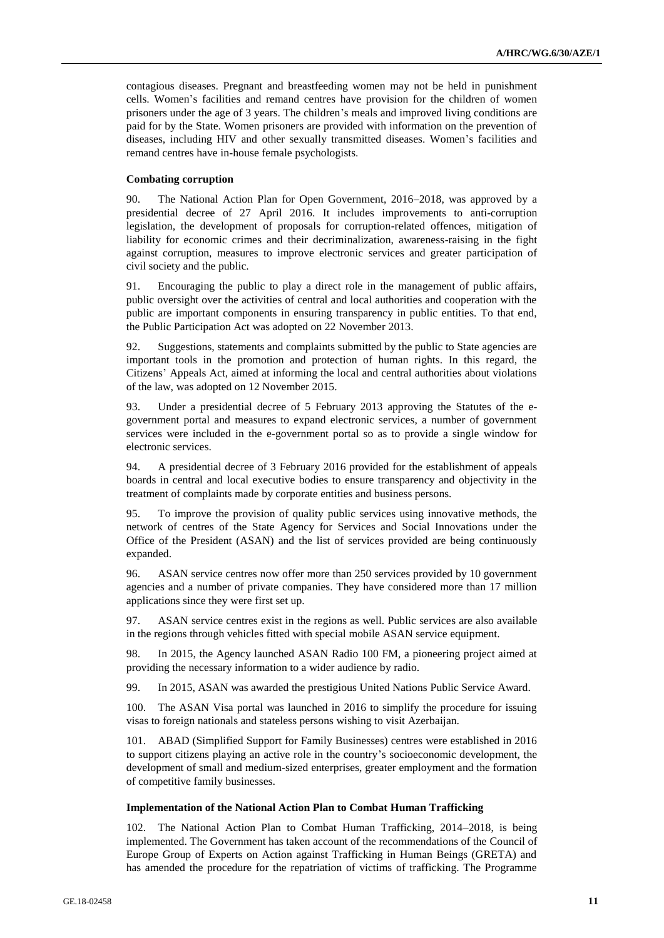contagious diseases. Pregnant and breastfeeding women may not be held in punishment cells. Women's facilities and remand centres have provision for the children of women prisoners under the age of 3 years. The children's meals and improved living conditions are paid for by the State. Women prisoners are provided with information on the prevention of diseases, including HIV and other sexually transmitted diseases. Women's facilities and remand centres have in-house female psychologists.

### **Combating corruption**

90. The National Action Plan for Open Government, 2016–2018, was approved by a presidential decree of 27 April 2016. It includes improvements to anti-corruption legislation, the development of proposals for corruption-related offences, mitigation of liability for economic crimes and their decriminalization, awareness-raising in the fight against corruption, measures to improve electronic services and greater participation of civil society and the public.

91. Encouraging the public to play a direct role in the management of public affairs, public oversight over the activities of central and local authorities and cooperation with the public are important components in ensuring transparency in public entities. To that end, the Public Participation Act was adopted on 22 November 2013.

92. Suggestions, statements and complaints submitted by the public to State agencies are important tools in the promotion and protection of human rights. In this regard, the Citizens' Appeals Act, aimed at informing the local and central authorities about violations of the law, was adopted on 12 November 2015.

93. Under a presidential decree of 5 February 2013 approving the Statutes of the egovernment portal and measures to expand electronic services, a number of government services were included in the e-government portal so as to provide a single window for electronic services.

94. A presidential decree of 3 February 2016 provided for the establishment of appeals boards in central and local executive bodies to ensure transparency and objectivity in the treatment of complaints made by corporate entities and business persons.

95. To improve the provision of quality public services using innovative methods, the network of centres of the State Agency for Services and Social Innovations under the Office of the President (ASAN) and the list of services provided are being continuously expanded.

96. ASAN service centres now offer more than 250 services provided by 10 government agencies and a number of private companies. They have considered more than 17 million applications since they were first set up.

97. ASAN service centres exist in the regions as well. Public services are also available in the regions through vehicles fitted with special mobile ASAN service equipment.

98. In 2015, the Agency launched ASAN Radio 100 FM, a pioneering project aimed at providing the necessary information to a wider audience by radio.

99. In 2015, ASAN was awarded the prestigious United Nations Public Service Award.

100. The ASAN Visa portal was launched in 2016 to simplify the procedure for issuing visas to foreign nationals and stateless persons wishing to visit Azerbaijan.

101. ABAD (Simplified Support for Family Businesses) centres were established in 2016 to support citizens playing an active role in the country's socioeconomic development, the development of small and medium-sized enterprises, greater employment and the formation of competitive family businesses.

### **Implementation of the National Action Plan to Combat Human Trafficking**

102. The National Action Plan to Combat Human Trafficking, 2014–2018, is being implemented. The Government has taken account of the recommendations of the Council of Europe Group of Experts on Action against Trafficking in Human Beings (GRETA) and has amended the procedure for the repatriation of victims of trafficking. The Programme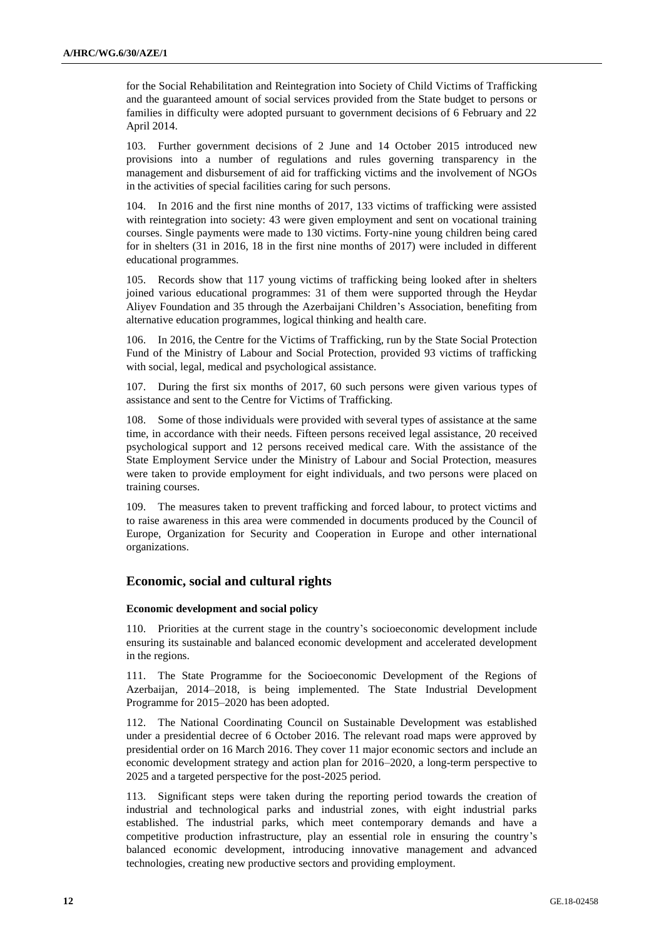for the Social Rehabilitation and Reintegration into Society of Child Victims of Trafficking and the guaranteed amount of social services provided from the State budget to persons or families in difficulty were adopted pursuant to government decisions of 6 February and 22 April 2014.

103. Further government decisions of 2 June and 14 October 2015 introduced new provisions into a number of regulations and rules governing transparency in the management and disbursement of aid for trafficking victims and the involvement of NGOs in the activities of special facilities caring for such persons.

104. In 2016 and the first nine months of 2017, 133 victims of trafficking were assisted with reintegration into society: 43 were given employment and sent on vocational training courses. Single payments were made to 130 victims. Forty-nine young children being cared for in shelters (31 in 2016, 18 in the first nine months of 2017) were included in different educational programmes.

105. Records show that 117 young victims of trafficking being looked after in shelters joined various educational programmes: 31 of them were supported through the Heydar Aliyev Foundation and 35 through the Azerbaijani Children's Association, benefiting from alternative education programmes, logical thinking and health care.

106. In 2016, the Centre for the Victims of Trafficking, run by the State Social Protection Fund of the Ministry of Labour and Social Protection, provided 93 victims of trafficking with social, legal, medical and psychological assistance.

107. During the first six months of 2017, 60 such persons were given various types of assistance and sent to the Centre for Victims of Trafficking.

108. Some of those individuals were provided with several types of assistance at the same time, in accordance with their needs. Fifteen persons received legal assistance, 20 received psychological support and 12 persons received medical care. With the assistance of the State Employment Service under the Ministry of Labour and Social Protection, measures were taken to provide employment for eight individuals, and two persons were placed on training courses.

109. The measures taken to prevent trafficking and forced labour, to protect victims and to raise awareness in this area were commended in documents produced by the Council of Europe, Organization for Security and Cooperation in Europe and other international organizations.

## **Economic, social and cultural rights**

## **Economic development and social policy**

110. Priorities at the current stage in the country's socioeconomic development include ensuring its sustainable and balanced economic development and accelerated development in the regions.

111. The State Programme for the Socioeconomic Development of the Regions of Azerbaijan, 2014–2018, is being implemented. The State Industrial Development Programme for 2015–2020 has been adopted.

112. The National Coordinating Council on Sustainable Development was established under a presidential decree of 6 October 2016. The relevant road maps were approved by presidential order on 16 March 2016. They cover 11 major economic sectors and include an economic development strategy and action plan for 2016–2020, a long-term perspective to 2025 and a targeted perspective for the post-2025 period.

113. Significant steps were taken during the reporting period towards the creation of industrial and technological parks and industrial zones, with eight industrial parks established. The industrial parks, which meet contemporary demands and have a competitive production infrastructure, play an essential role in ensuring the country's balanced economic development, introducing innovative management and advanced technologies, creating new productive sectors and providing employment.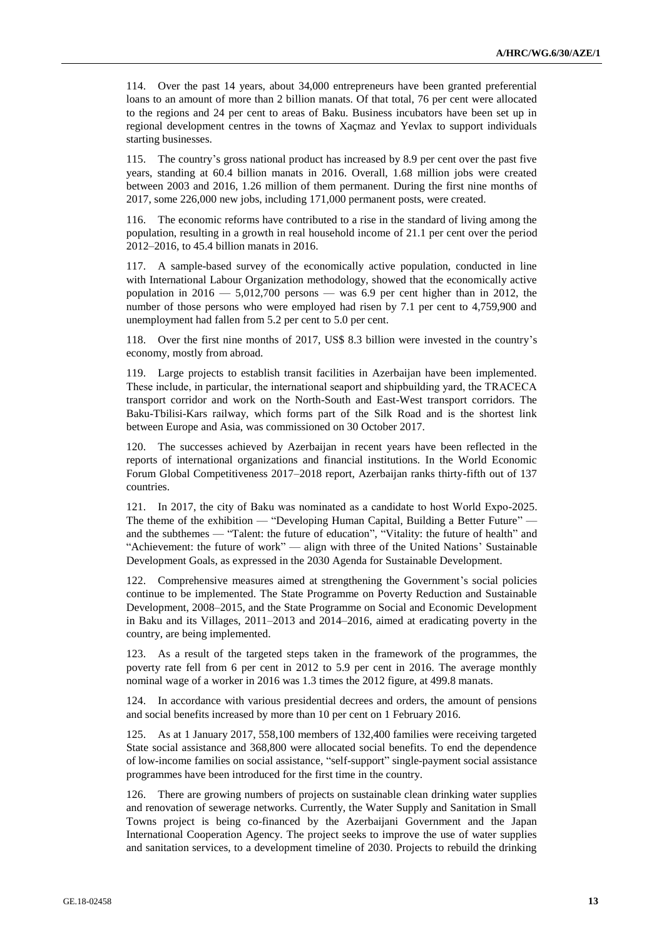114. Over the past 14 years, about 34,000 entrepreneurs have been granted preferential loans to an amount of more than 2 billion manats. Of that total, 76 per cent were allocated to the regions and 24 per cent to areas of Baku. Business incubators have been set up in regional development centres in the towns of Xaçmaz and Yevlax to support individuals starting businesses.

115. The country's gross national product has increased by 8.9 per cent over the past five years, standing at 60.4 billion manats in 2016. Overall, 1.68 million jobs were created between 2003 and 2016, 1.26 million of them permanent. During the first nine months of 2017, some 226,000 new jobs, including 171,000 permanent posts, were created.

116. The economic reforms have contributed to a rise in the standard of living among the population, resulting in a growth in real household income of 21.1 per cent over the period 2012–2016, to 45.4 billion manats in 2016.

117. A sample-based survey of the economically active population, conducted in line with International Labour Organization methodology, showed that the economically active population in  $2016 - 5,012,700$  persons — was 6.9 per cent higher than in 2012, the number of those persons who were employed had risen by 7.1 per cent to 4,759,900 and unemployment had fallen from 5.2 per cent to 5.0 per cent.

118. Over the first nine months of 2017, US\$ 8.3 billion were invested in the country's economy, mostly from abroad.

119. Large projects to establish transit facilities in Azerbaijan have been implemented. These include, in particular, the international seaport and shipbuilding yard, the TRAСECA transport corridor and work on the North-South and East-West transport corridors. The Baku-Tbilisi-Kars railway, which forms part of the Silk Road and is the shortest link between Europe and Asia, was commissioned on 30 October 2017.

120. The successes achieved by Azerbaijan in recent years have been reflected in the reports of international organizations and financial institutions. In the World Economic Forum Global Competitiveness 2017–2018 report, Azerbaijan ranks thirty-fifth out of 137 countries.

121. In 2017, the city of Baku was nominated as a candidate to host World Еxpo-2025. The theme of the exhibition — "Developing Human Capital, Building a Better Future" and the subthemes — "Talent: the future of education", "Vitality: the future of health" and "Achievement: the future of work" — align with three of the United Nations' Sustainable Development Goals, as expressed in the 2030 Agenda for Sustainable Development.

122. Comprehensive measures aimed at strengthening the Government's social policies continue to be implemented. The State Programme on Poverty Reduction and Sustainable Development, 2008–2015, and the State Programme on Social and Economic Development in Baku and its Villages, 2011–2013 and 2014–2016, aimed at eradicating poverty in the country, are being implemented.

123. As a result of the targeted steps taken in the framework of the programmes, the poverty rate fell from 6 per cent in 2012 to 5.9 per cent in 2016. The average monthly nominal wage of a worker in 2016 was 1.3 times the 2012 figure, at 499.8 manats.

124. In accordance with various presidential decrees and orders, the amount of pensions and social benefits increased by more than 10 per cent on 1 February 2016.

125. As at 1 January 2017, 558,100 members of 132,400 families were receiving targeted State social assistance and 368,800 were allocated social benefits. To end the dependence of low-income families on social assistance, "self-support" single-payment social assistance programmes have been introduced for the first time in the country.

126. There are growing numbers of projects on sustainable clean drinking water supplies and renovation of sewerage networks. Currently, the Water Supply and Sanitation in Small Towns project is being co-financed by the Azerbaijani Government and the Japan International Cooperation Agency. The project seeks to improve the use of water supplies and sanitation services, to a development timeline of 2030. Projects to rebuild the drinking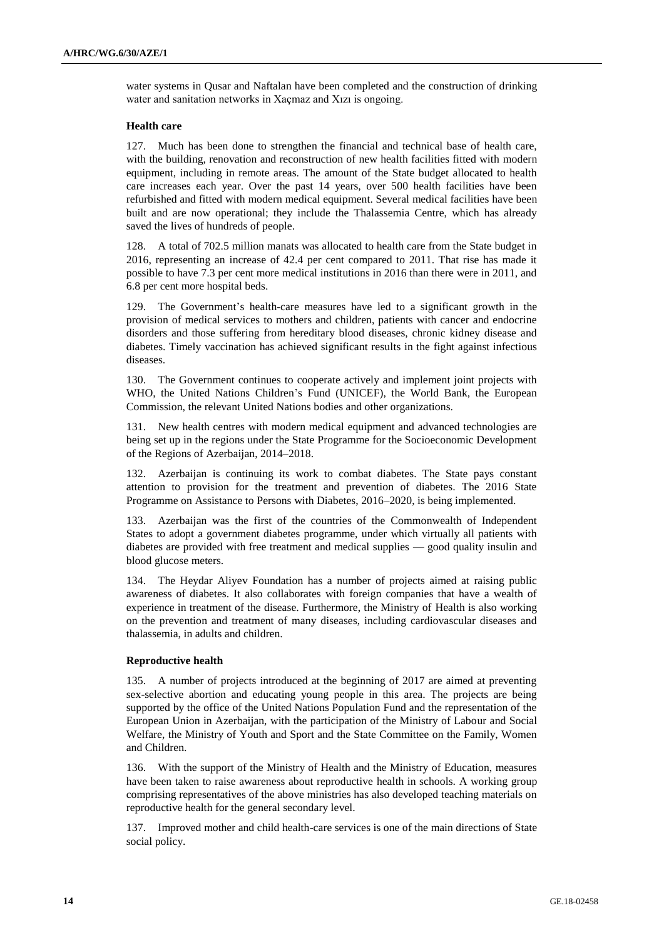water systems in Qusar and Naftalan have been completed and the construction of drinking water and sanitation networks in Xaçmaz and Xızı is ongoing.

### **Health care**

127. Much has been done to strengthen the financial and technical base of health care, with the building, renovation and reconstruction of new health facilities fitted with modern equipment, including in remote areas. The amount of the State budget allocated to health care increases each year. Over the past 14 years, over 500 health facilities have been refurbished and fitted with modern medical equipment. Several medical facilities have been built and are now operational; they include the Thalassemia Centre, which has already saved the lives of hundreds of people.

128. A total of 702.5 million manats was allocated to health care from the State budget in 2016, representing an increase of 42.4 per cent compared to 2011. That rise has made it possible to have 7.3 per cent more medical institutions in 2016 than there were in 2011, and 6.8 per cent more hospital beds.

129. The Government's health-care measures have led to a significant growth in the provision of medical services to mothers and children, patients with cancer and endocrine disorders and those suffering from hereditary blood diseases, chronic kidney disease and diabetes. Timely vaccination has achieved significant results in the fight against infectious diseases.

130. The Government continues to cooperate actively and implement joint projects with WHO, the United Nations Children's Fund (UNICEF), the World Bank, the European Commission, the relevant United Nations bodies and other organizations.

131. New health centres with modern medical equipment and advanced technologies are being set up in the regions under the State Programme for the Socioeconomic Development of the Regions of Azerbaijan, 2014–2018.

132. Azerbaijan is continuing its work to combat diabetes. The State pays constant attention to provision for the treatment and prevention of diabetes. The 2016 State Programme on Assistance to Persons with Diabetes, 2016–2020, is being implemented.

133. Azerbaijan was the first of the countries of the Commonwealth of Independent States to adopt a government diabetes programme, under which virtually all patients with diabetes are provided with free treatment and medical supplies — good quality insulin and blood glucose meters.

134. The Heydar Aliyev Foundation has a number of projects aimed at raising public awareness of diabetes. It also collaborates with foreign companies that have a wealth of experience in treatment of the disease. Furthermore, the Ministry of Health is also working on the prevention and treatment of many diseases, including cardiovascular diseases and thalassemia, in adults and children.

## **Reproductive health**

135. A number of projects introduced at the beginning of 2017 are aimed at preventing sex-selective abortion and educating young people in this area. The projects are being supported by the office of the United Nations Population Fund and the representation of the European Union in Azerbaijan, with the participation of the Ministry of Labour and Social Welfare, the Ministry of Youth and Sport and the State Committee on the Family, Women and Children.

136. With the support of the Ministry of Health and the Ministry of Education, measures have been taken to raise awareness about reproductive health in schools. A working group comprising representatives of the above ministries has also developed teaching materials on reproductive health for the general secondary level.

137. Improved mother and child health-care services is one of the main directions of State social policy.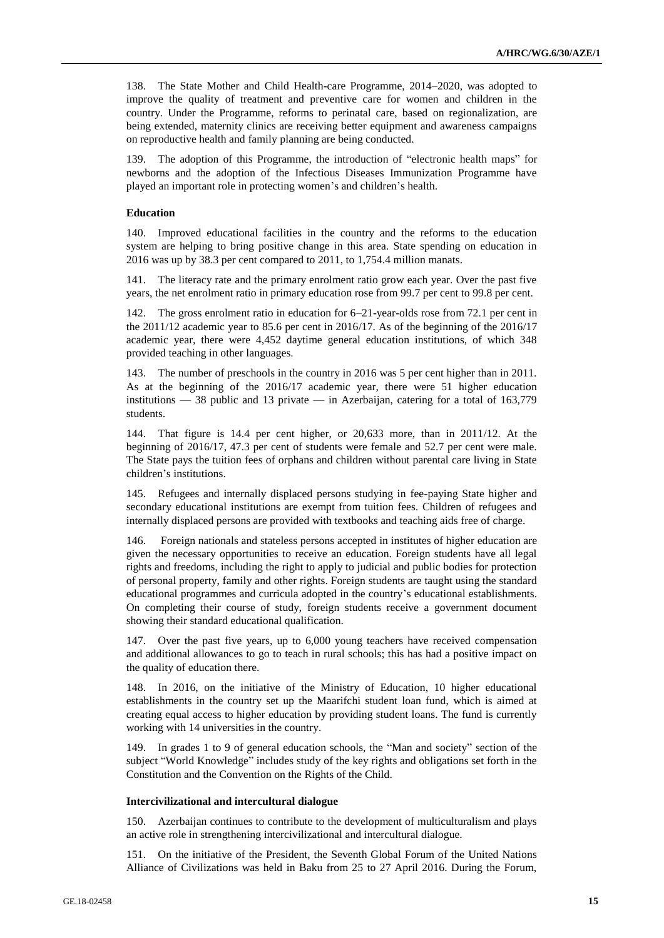138. The State Mother and Child Health-care Programme, 2014–2020, was adopted to improve the quality of treatment and preventive care for women and children in the country. Under the Programme, reforms to perinatal care, based on regionalization, are being extended, maternity clinics are receiving better equipment and awareness campaigns on reproductive health and family planning are being conducted.

139. The adoption of this Programme, the introduction of "electronic health maps" for newborns and the adoption of the Infectious Diseases Immunization Programme have played an important role in protecting women's and children's health.

## **Education**

140. Improved educational facilities in the country and the reforms to the education system are helping to bring positive change in this area. State spending on education in 2016 was up by 38.3 per cent compared to 2011, to 1,754.4 million manats.

141. The literacy rate and the primary enrolment ratio grow each year. Over the past five years, the net enrolment ratio in primary education rose from 99.7 per cent to 99.8 per cent.

142. The gross enrolment ratio in education for 6–21-year-olds rose from 72.1 per cent in the 2011/12 academic year to 85.6 per cent in 2016/17. As of the beginning of the 2016/17 academic year, there were 4,452 daytime general education institutions, of which 348 provided teaching in other languages.

143. The number of preschools in the country in 2016 was 5 per cent higher than in 2011. As at the beginning of the 2016/17 academic year, there were 51 higher education institutions — 38 public and 13 private — in Azerbaijan, catering for a total of 163,779 students.

144. That figure is 14.4 per cent higher, or 20,633 more, than in 2011/12. At the beginning of 2016/17, 47.3 per cent of students were female and 52.7 per cent were male. The State pays the tuition fees of orphans and children without parental care living in State children's institutions.

145. Refugees and internally displaced persons studying in fee-paying State higher and secondary educational institutions are exempt from tuition fees. Children of refugees and internally displaced persons are provided with textbooks and teaching aids free of charge.

146. Foreign nationals and stateless persons accepted in institutes of higher education are given the necessary opportunities to receive an education. Foreign students have all legal rights and freedoms, including the right to apply to judicial and public bodies for protection of personal property, family and other rights. Foreign students are taught using the standard educational programmes and curricula adopted in the country's educational establishments. On completing their course of study, foreign students receive a government document showing their standard educational qualification.

147. Over the past five years, up to 6,000 young teachers have received compensation and additional allowances to go to teach in rural schools; this has had a positive impact on the quality of education there.

148. In 2016, on the initiative of the Ministry of Education, 10 higher educational establishments in the country set up the Maarifchi student loan fund, which is aimed at creating equal access to higher education by providing student loans. The fund is currently working with 14 universities in the country.

149. In grades 1 to 9 of general education schools, the "Man and society" section of the subject "World Knowledge" includes study of the key rights and obligations set forth in the Constitution and the Convention on the Rights of the Child.

#### **Intercivilizational and intercultural dialogue**

150. Azerbaijan continues to contribute to the development of multiculturalism and plays an active role in strengthening intercivilizational and intercultural dialogue.

151. On the initiative of the President, the Seventh Global Forum of the United Nations Alliance of Civilizations was held in Baku from 25 to 27 April 2016. During the Forum,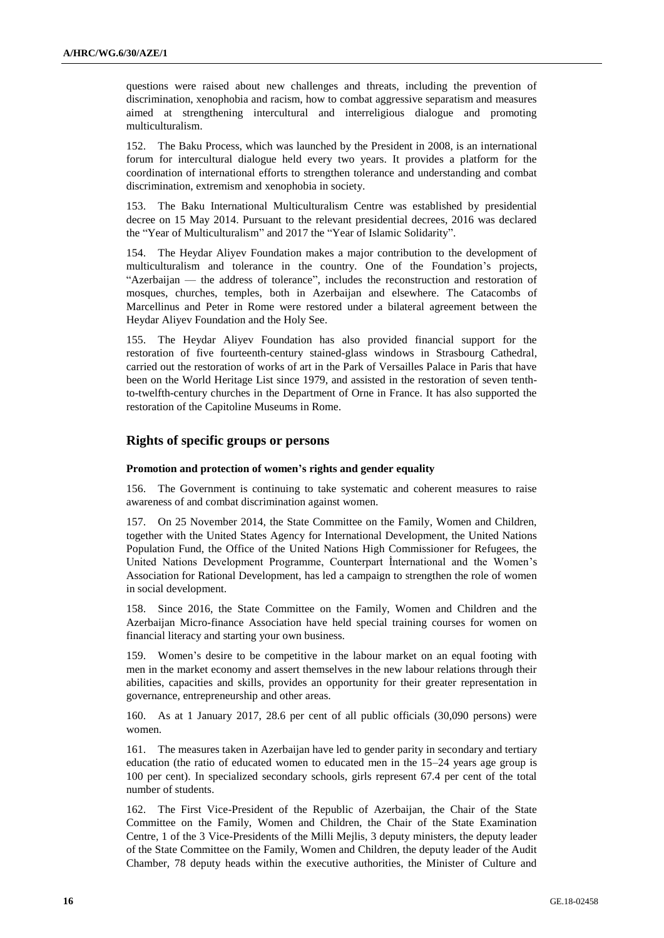questions were raised about new challenges and threats, including the prevention of discrimination, xenophobia and racism, how to combat aggressive separatism and measures aimed at strengthening intercultural and interreligious dialogue and promoting multiculturalism.

152. The Baku Process, which was launched by the President in 2008, is an international forum for intercultural dialogue held every two years. It provides a platform for the coordination of international efforts to strengthen tolerance and understanding and combat discrimination, extremism and xenophobia in society.

153. The Baku International Multiculturalism Centre was established by presidential decree on 15 May 2014. Pursuant to the relevant presidential decrees, 2016 was declared the "Year of Multiculturalism" and 2017 the "Year of Islamic Solidarity".

154. The Heydar Aliyev Foundation makes a major contribution to the development of multiculturalism and tolerance in the country. One of the Foundation's projects, "Azerbaijan — the address of tolerance", includes the reconstruction and restoration of mosques, churches, temples, both in Azerbaijan and elsewhere. The Catacombs of Marcellinus and Peter in Rome were restored under a bilateral agreement between the Heydar Aliyev Foundation and the Holy See.

155. The Heydar Aliyev Foundation has also provided financial support for the restoration of five fourteenth-century stained-glass windows in Strasbourg Cathedral, carried out the restoration of works of art in the Park of Versailles Palace in Paris that have been on the World Heritage List since 1979, and assisted in the restoration of seven tenthto-twelfth-century churches in the Department of Orne in France. It has also supported the restoration of the Capitoline Museums in Rome.

## **Rights of specific groups or persons**

### **Promotion and protection of women's rights and gender equality**

156. The Government is continuing to take systematic and coherent measures to raise awareness of and combat discrimination against women.

157. On 25 November 2014, the State Committee on the Family, Women and Children, together with the United States Agency for International Development, the United Nations Population Fund, the Office of the United Nations High Commissioner for Refugees, the United Nations Development Programme, Counterpart İnternational and the Women's Association for Rational Development, has led a campaign to strengthen the role of women in social development.

158. Since 2016, the State Committee on the Family, Women and Children and the Azerbaijan Micro-finance Association have held special training courses for women on financial literacy and starting your own business.

159. Women's desire to be competitive in the labour market on an equal footing with men in the market economy and assert themselves in the new labour relations through their abilities, capacities and skills, provides an opportunity for their greater representation in governance, entrepreneurship and other areas.

160. As at 1 January 2017, 28.6 per cent of all public officials (30,090 persons) were women.

161. The measures taken in Azerbaijan have led to gender parity in secondary and tertiary education (the ratio of educated women to educated men in the 15–24 years age group is 100 per cent). In specialized secondary schools, girls represent 67.4 per cent of the total number of students.

162. The First Vice-President of the Republic of Azerbaijan, the Chair of the State Committee on the Family, Women and Children, the Chair of the State Examination Centre, 1 of the 3 Vice-Presidents of the Milli Mejlis, 3 deputy ministers, the deputy leader of the State Committee on the Family, Women and Children, the deputy leader of the Audit Chamber, 78 deputy heads within the executive authorities, the Minister of Culture and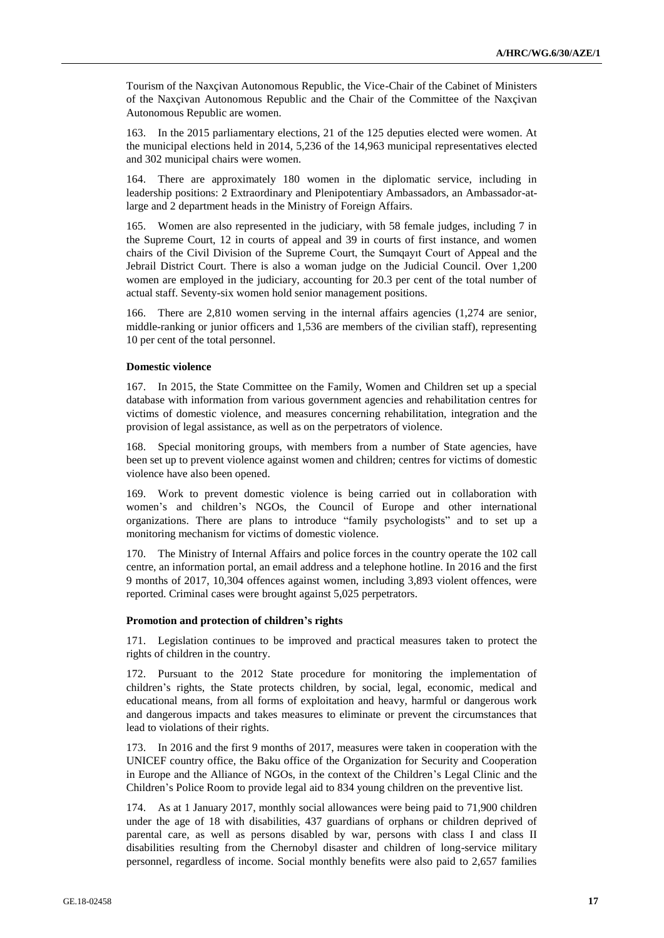Tourism of the Naxçivan Autonomous Republic, the Vice-Chair of the Cabinet of Ministers of the Naxçivan Autonomous Republic and the Chair of the Committee of the Naxçivan Autonomous Republic are women.

163. In the 2015 parliamentary elections, 21 of the 125 deputies elected were women. At the municipal elections held in 2014, 5,236 of the 14,963 municipal representatives elected and 302 municipal chairs were women.

164. There are approximately 180 women in the diplomatic service, including in leadership positions: 2 Extraordinary and Plenipotentiary Ambassadors, an Ambassador-atlarge and 2 department heads in the Ministry of Foreign Affairs.

165. Women are also represented in the judiciary, with 58 female judges, including 7 in the Supreme Court, 12 in courts of appeal and 39 in courts of first instance, and women chairs of the Civil Division of the Supreme Court, the Sumqayıt Court of Appeal and the Jebrail District Court. There is also a woman judge on the Judicial Council. Over 1,200 women are employed in the judiciary, accounting for 20.3 per cent of the total number of actual staff. Seventy-six women hold senior management positions.

166. There are 2,810 women serving in the internal affairs agencies (1,274 are senior, middle-ranking or junior officers and 1,536 are members of the civilian staff), representing 10 per cent of the total personnel.

## **Domestic violence**

167. In 2015, the State Committee on the Family, Women and Children set up a special database with information from various government agencies and rehabilitation centres for victims of domestic violence, and measures concerning rehabilitation, integration and the provision of legal assistance, as well as on the perpetrators of violence.

168. Special monitoring groups, with members from a number of State agencies, have been set up to prevent violence against women and children; centres for victims of domestic violence have also been opened.

169. Work to prevent domestic violence is being carried out in collaboration with women's and children's NGOs, the Council of Europe and other international organizations. There are plans to introduce "family psychologists" and to set up a monitoring mechanism for victims of domestic violence.

170. The Ministry of Internal Affairs and police forces in the country operate the 102 call centre, an information portal, an email address and a telephone hotline. In 2016 and the first 9 months of 2017, 10,304 offences against women, including 3,893 violent offences, were reported. Criminal cases were brought against 5,025 perpetrators.

### **Promotion and protection of children's rights**

171. Legislation continues to be improved and practical measures taken to protect the rights of children in the country.

172. Pursuant to the 2012 State procedure for monitoring the implementation of children's rights, the State protects children, by social, legal, economic, medical and educational means, from all forms of exploitation and heavy, harmful or dangerous work and dangerous impacts and takes measures to eliminate or prevent the circumstances that lead to violations of their rights.

173. In 2016 and the first 9 months of 2017, measures were taken in cooperation with the UNICEF country office, the Baku office of the Organization for Security and Cooperation in Europe and the Alliance of NGOs, in the context of the Children's Legal Clinic and the Children's Police Room to provide legal aid to 834 young children on the preventive list.

174. As at 1 January 2017, monthly social allowances were being paid to 71,900 children under the age of 18 with disabilities, 437 guardians of orphans or children deprived of parental care, as well as persons disabled by war, persons with class I and class II disabilities resulting from the Chernobyl disaster and children of long-service military personnel, regardless of income. Social monthly benefits were also paid to 2,657 families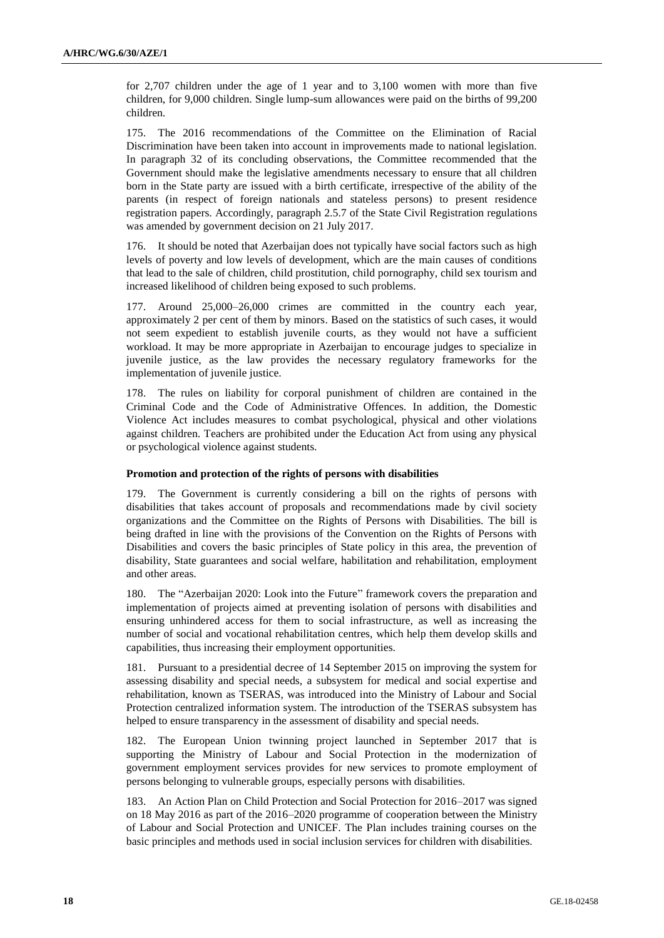for 2,707 children under the age of 1 year and to 3,100 women with more than five children, for 9,000 children. Single lump-sum allowances were paid on the births of 99,200 children.

175. The 2016 recommendations of the Committee on the Elimination of Racial Discrimination have been taken into account in improvements made to national legislation. In paragraph 32 of its concluding observations, the Committee recommended that the Government should make the legislative amendments necessary to ensure that all children born in the State party are issued with a birth certificate, irrespective of the ability of the parents (in respect of foreign nationals and stateless persons) to present residence registration papers. Accordingly, paragraph 2.5.7 of the State Civil Registration regulations was amended by government decision on 21 July 2017.

176. It should be noted that Azerbaijan does not typically have social factors such as high levels of poverty and low levels of development, which are the main causes of conditions that lead to the sale of children, child prostitution, child pornography, child sex tourism and increased likelihood of children being exposed to such problems.

177. Around 25,000–26,000 crimes are committed in the country each year, approximately 2 per cent of them by minors. Based on the statistics of such cases, it would not seem expedient to establish juvenile courts, as they would not have a sufficient workload. It may be more appropriate in Azerbaijan to encourage judges to specialize in juvenile justice, as the law provides the necessary regulatory frameworks for the implementation of juvenile justice.

178. The rules on liability for corporal punishment of children are contained in the Criminal Code and the Code of Administrative Offences. In addition, the Domestic Violence Act includes measures to combat psychological, physical and other violations against children. Teachers are prohibited under the Education Act from using any physical or psychological violence against students.

## **Promotion and protection of the rights of persons with disabilities**

179. The Government is currently considering a bill on the rights of persons with disabilities that takes account of proposals and recommendations made by civil society organizations and the Committee on the Rights of Persons with Disabilities. The bill is being drafted in line with the provisions of the Convention on the Rights of Persons with Disabilities and covers the basic principles of State policy in this area, the prevention of disability, State guarantees and social welfare, habilitation and rehabilitation, employment and other areas.

180. The "Azerbaijan 2020: Look into the Future" framework covers the preparation and implementation of projects aimed at preventing isolation of persons with disabilities and ensuring unhindered access for them to social infrastructure, as well as increasing the number of social and vocational rehabilitation centres, which help them develop skills and capabilities, thus increasing their employment opportunities.

181. Pursuant to a presidential decree of 14 September 2015 on improving the system for assessing disability and special needs, a subsystem for medical and social expertise and rehabilitation, known as TSERAS, was introduced into the Ministry of Labour and Social Protection centralized information system. The introduction of the TSERAS subsystem has helped to ensure transparency in the assessment of disability and special needs.

182. The European Union twinning project launched in September 2017 that is supporting the Ministry of Labour and Social Protection in the modernization of government employment services provides for new services to promote employment of persons belonging to vulnerable groups, especially persons with disabilities.

183. An Action Plan on Child Protection and Social Protection for 2016–2017 was signed on 18 May 2016 as part of the 2016–2020 programme of cooperation between the Ministry of Labour and Social Protection and UNICEF. The Plan includes training courses on the basic principles and methods used in social inclusion services for children with disabilities.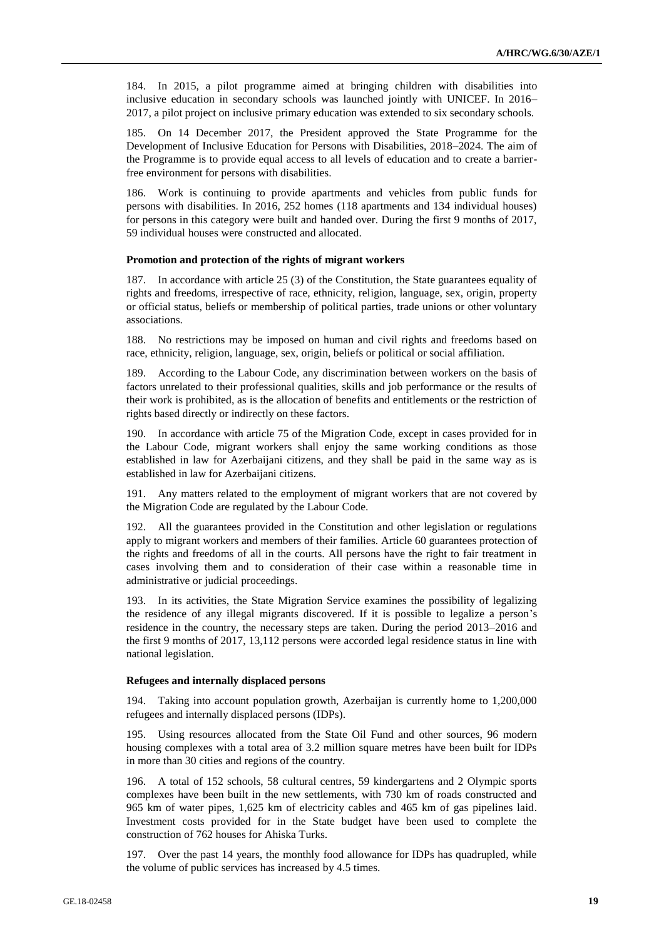184. In 2015, a pilot programme aimed at bringing children with disabilities into inclusive education in secondary schools was launched jointly with UNICEF. In 2016– 2017, a pilot project on inclusive primary education was extended to six secondary schools.

185. On 14 December 2017, the President approved the State Programme for the Development of Inclusive Education for Persons with Disabilities, 2018–2024. The aim of the Programme is to provide equal access to all levels of education and to create a barrierfree environment for persons with disabilities.

186. Work is continuing to provide apartments and vehicles from public funds for persons with disabilities. In 2016, 252 homes (118 apartments and 134 individual houses) for persons in this category were built and handed over. During the first 9 months of 2017, 59 individual houses were constructed and allocated.

### **Promotion and protection of the rights of migrant workers**

187. In accordance with article 25 (3) of the Constitution, the State guarantees equality of rights and freedoms, irrespective of race, ethnicity, religion, language, sex, origin, property or official status, beliefs or membership of political parties, trade unions or other voluntary associations.

188. No restrictions may be imposed on human and civil rights and freedoms based on race, ethnicity, religion, language, sex, origin, beliefs or political or social affiliation.

189. According to the Labour Code, any discrimination between workers on the basis of factors unrelated to their professional qualities, skills and job performance or the results of their work is prohibited, as is the allocation of benefits and entitlements or the restriction of rights based directly or indirectly on these factors.

190. In accordance with article 75 of the Migration Code, except in cases provided for in the Labour Code, migrant workers shall enjoy the same working conditions as those established in law for Azerbaijani citizens, and they shall be paid in the same way as is established in law for Azerbaijani citizens.

191. Any matters related to the employment of migrant workers that are not covered by the Migration Code are regulated by the Labour Code.

192. All the guarantees provided in the Constitution and other legislation or regulations apply to migrant workers and members of their families. Article 60 guarantees protection of the rights and freedoms of all in the courts. All persons have the right to fair treatment in cases involving them and to consideration of their case within a reasonable time in administrative or judicial proceedings.

193. In its activities, the State Migration Service examines the possibility of legalizing the residence of any illegal migrants discovered. If it is possible to legalize a person's residence in the country, the necessary steps are taken. During the period 2013–2016 and the first 9 months of 2017, 13,112 persons were accorded legal residence status in line with national legislation.

### **Refugees and internally displaced persons**

194. Taking into account population growth, Azerbaijan is currently home to 1,200,000 refugees and internally displaced persons (IDPs).

195. Using resources allocated from the State Oil Fund and other sources, 96 modern housing complexes with a total area of 3.2 million square metres have been built for IDPs in more than 30 cities and regions of the country.

196. A total of 152 schools, 58 cultural centres, 59 kindergartens and 2 Olympic sports complexes have been built in the new settlements, with 730 km of roads constructed and 965 km of water pipes, 1,625 km of electricity cables and 465 km of gas pipelines laid. Investment costs provided for in the State budget have been used to complete the construction of 762 houses for Ahiska Turks.

197. Over the past 14 years, the monthly food allowance for IDPs has quadrupled, while the volume of public services has increased by 4.5 times.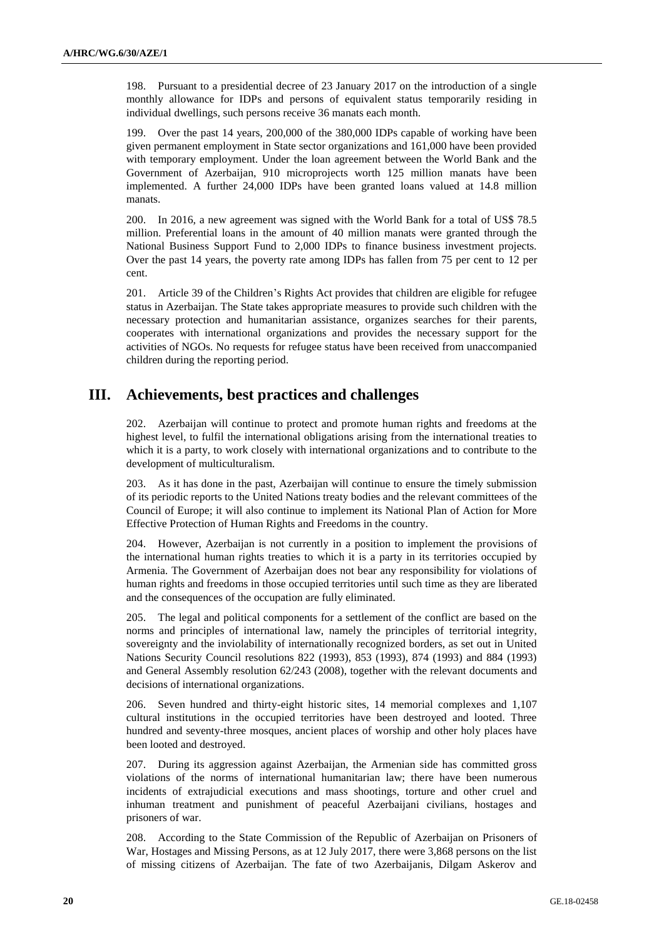198. Pursuant to a presidential decree of 23 January 2017 on the introduction of a single monthly allowance for IDPs and persons of equivalent status temporarily residing in individual dwellings, such persons receive 36 manats each month.

199. Over the past 14 years, 200,000 of the 380,000 IDPs capable of working have been given permanent employment in State sector organizations and 161,000 have been provided with temporary employment. Under the loan agreement between the World Bank and the Government of Azerbaijan, 910 microprojects worth 125 million manats have been implemented. A further 24,000 IDPs have been granted loans valued at 14.8 million manats.

200. In 2016, a new agreement was signed with the World Bank for a total of US\$ 78.5 million. Preferential loans in the amount of 40 million manats were granted through the National Business Support Fund to 2,000 IDPs to finance business investment projects. Over the past 14 years, the poverty rate among IDPs has fallen from 75 per cent to 12 per cent.

201. Article 39 of the Children's Rights Act provides that children are eligible for refugee status in Azerbaijan. The State takes appropriate measures to provide such children with the necessary protection and humanitarian assistance, organizes searches for their parents, cooperates with international organizations and provides the necessary support for the activities of NGOs. No requests for refugee status have been received from unaccompanied children during the reporting period.

# **III. Achievements, best practices and challenges**

202. Azerbaijan will continue to protect and promote human rights and freedoms at the highest level, to fulfil the international obligations arising from the international treaties to which it is a party, to work closely with international organizations and to contribute to the development of multiculturalism.

203. As it has done in the past, Azerbaijan will continue to ensure the timely submission of its periodic reports to the United Nations treaty bodies and the relevant committees of the Council of Europe; it will also continue to implement its National Plan of Action for More Effective Protection of Human Rights and Freedoms in the country.

204. However, Azerbaijan is not currently in a position to implement the provisions of the international human rights treaties to which it is a party in its territories occupied by Armenia. The Government of Azerbaijan does not bear any responsibility for violations of human rights and freedoms in those occupied territories until such time as they are liberated and the consequences of the occupation are fully eliminated.

205. The legal and political components for a settlement of the conflict are based on the norms and principles of international law, namely the principles of territorial integrity, sovereignty and the inviolability of internationally recognized borders, as set out in United Nations Security Council resolutions 822 (1993), 853 (1993), 874 (1993) and 884 (1993) and General Assembly resolution 62/243 (2008), together with the relevant documents and decisions of international organizations.

206. Seven hundred and thirty-eight historic sites, 14 memorial complexes and 1,107 cultural institutions in the occupied territories have been destroyed and looted. Three hundred and seventy-three mosques, ancient places of worship and other holy places have been looted and destroyed.

207. During its aggression against Azerbaijan, the Armenian side has committed gross violations of the norms of international humanitarian law; there have been numerous incidents of extrajudicial executions and mass shootings, torture and other cruel and inhuman treatment and punishment of peaceful Azerbaijani civilians, hostages and prisoners of war.

208. According to the State Commission of the Republic of Azerbaijan on Prisoners of War, Hostages and Missing Persons, as at 12 July 2017, there were 3,868 persons on the list of missing citizens of Azerbaijan. The fate of two Azerbaijanis, Dilgam Askerov and